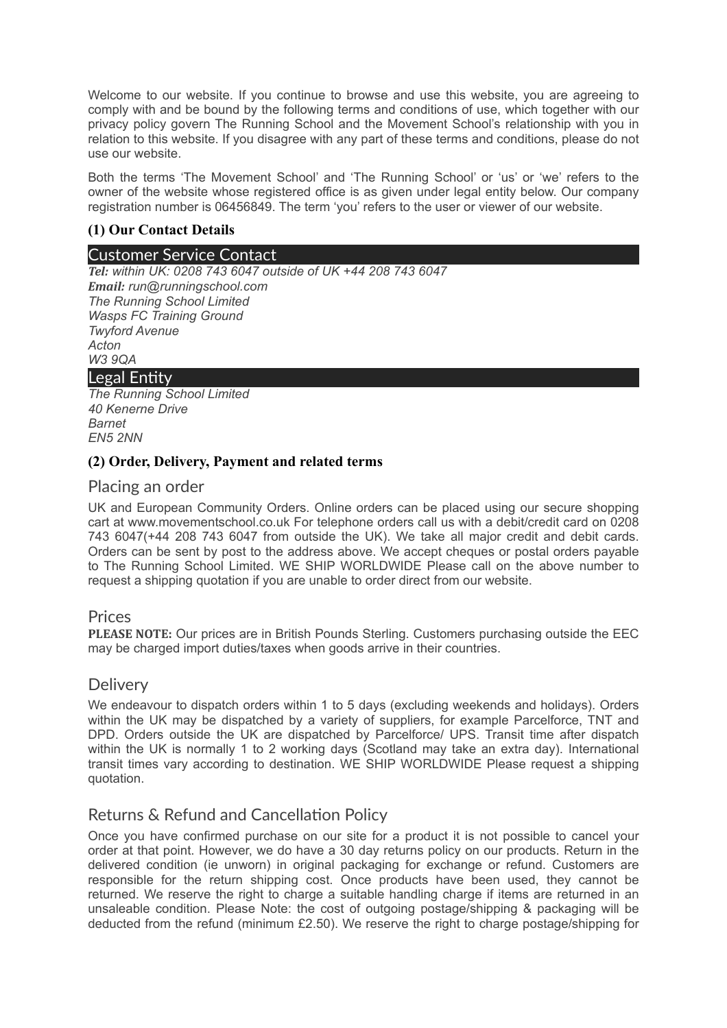Welcome to our website. If you continue to browse and use this website, you are agreeing to comply with and be bound by the following terms and conditions of use, which together with our privacy policy govern The Running School and the Movement School's relationship with you in relation to this website. If you disagree with any part of these terms and conditions, please do not use our website.

Both the terms 'The Movement School' and 'The Running School' or 'us' or 'we' refers to the owner of the website whose registered office is as given under legal entity below. Our company registration number is 06456849. The term 'you' refers to the user or viewer of our website.

# **(1) Our Contact Details**

### Customer Service Contact

*Tel: within UK: 0208 743 6047 outside of UK +44 208 743 6047 Email: run@runningschool.com The Running School Limited Wasps FC Training Ground Twyford Avenue Acton W3 9QA*

# Legal Entity

*The Running School Limited 40 Kenerne Drive Barnet EN5 2NN*

### **(2) Order, Delivery, Payment and related terms**

### Placing an order

UK and European Community Orders. Online orders can be placed using our secure shopping cart at www.movementschool.co.uk For telephone orders call us with a debit/credit card on 0208 743 6047(+44 208 743 6047 from outside the UK). We take all major credit and debit cards. Orders can be sent by post to the address above. We accept cheques or postal orders payable to The Running School Limited. WE SHIP WORLDWIDE Please call on the above number to request a shipping quotation if you are unable to order direct from our website.

#### Prices

**PLEASE NOTE:** Our prices are in British Pounds Sterling. Customers purchasing outside the EEC may be charged import duties/taxes when goods arrive in their countries.

#### **Delivery**

We endeavour to dispatch orders within 1 to 5 days (excluding weekends and holidays). Orders within the UK may be dispatched by a variety of suppliers, for example Parcelforce, TNT and DPD. Orders outside the UK are dispatched by Parcelforce/ UPS. Transit time after dispatch within the UK is normally 1 to 2 working days (Scotland may take an extra day). International transit times vary according to destination. WE SHIP WORLDWIDE Please request a shipping quotation.

# Returns & Refund and Cancellation Policy

Once you have confirmed purchase on our site for a product it is not possible to cancel your order at that point. However, we do have a 30 day returns policy on our products. Return in the delivered condition (ie unworn) in original packaging for exchange or refund. Customers are responsible for the return shipping cost. Once products have been used, they cannot be returned. We reserve the right to charge a suitable handling charge if items are returned in an unsaleable condition. Please Note: the cost of outgoing postage/shipping & packaging will be deducted from the refund (minimum £2.50). We reserve the right to charge postage/shipping for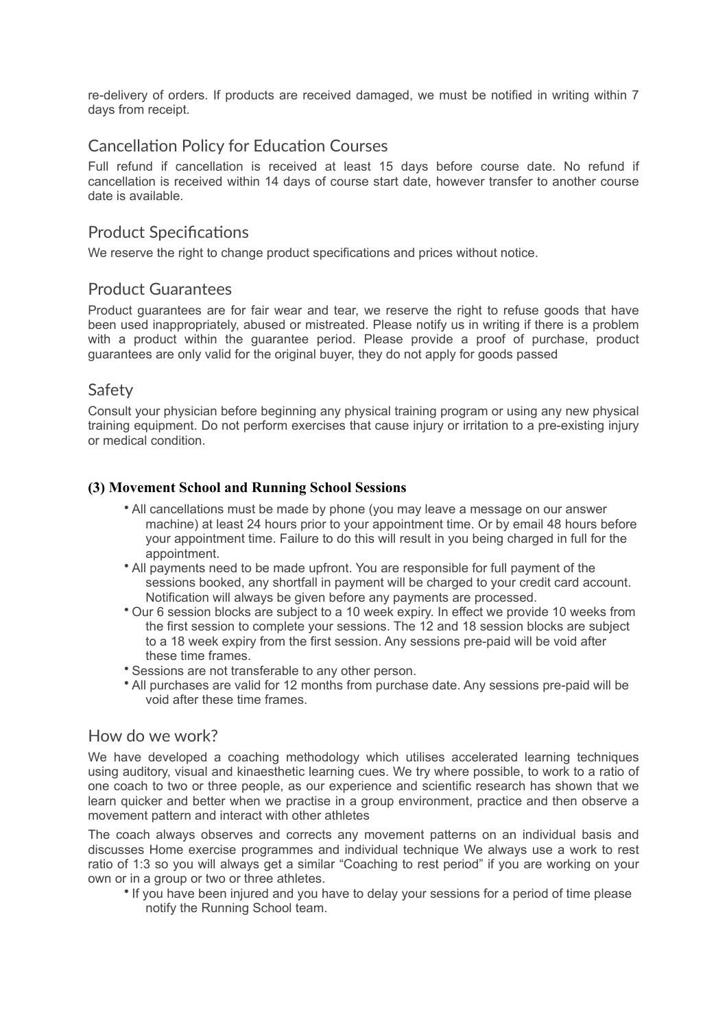re-delivery of orders. If products are received damaged, we must be notified in writing within 7 days from receipt.

# Cancellation Policy for Education Courses

Full refund if cancellation is received at least 15 days before course date. No refund if cancellation is received within 14 days of course start date, however transfer to another course date is available.

# Product Specifications

We reserve the right to change product specifications and prices without notice.

# Product Guarantees

Product guarantees are for fair wear and tear, we reserve the right to refuse goods that have been used inappropriately, abused or mistreated. Please notify us in writing if there is a problem with a product within the guarantee period. Please provide a proof of purchase, product guarantees are only valid for the original buyer, they do not apply for goods passed

# Safety

Consult your physician before beginning any physical training program or using any new physical training equipment. Do not perform exercises that cause injury or irritation to a pre-existing injury or medical condition.

### **(3) Movement School and Running School Sessions**

- All cancellations must be made by phone (you may leave a message on our answer machine) at least 24 hours prior to your appointment time. Or by email 48 hours before your appointment time. Failure to do this will result in you being charged in full for the appointment.
- All payments need to be made upfront. You are responsible for full payment of the sessions booked, any shortfall in payment will be charged to your credit card account. Notification will always be given before any payments are processed.
- Our 6 session blocks are subject to a 10 week expiry. In effect we provide 10 weeks from the first session to complete your sessions. The 12 and 18 session blocks are subject to a 18 week expiry from the first session. Any sessions pre-paid will be void after these time frames.
- Sessions are not transferable to any other person.
- All purchases are valid for 12 months from purchase date. Any sessions pre-paid will be void after these time frames.

# How do we work?

We have developed a coaching methodology which utilises accelerated learning techniques using auditory, visual and kinaesthetic learning cues. We try where possible, to work to a ratio of one coach to two or three people, as our experience and scientific research has shown that we learn quicker and better when we practise in a group environment, practice and then observe a movement pattern and interact with other athletes

The coach always observes and corrects any movement patterns on an individual basis and discusses Home exercise programmes and individual technique We always use a work to rest ratio of 1:3 so you will always get a similar "Coaching to rest period" if you are working on your own or in a group or two or three athletes.

• If you have been injured and you have to delay your sessions for a period of time please notify the Running School team.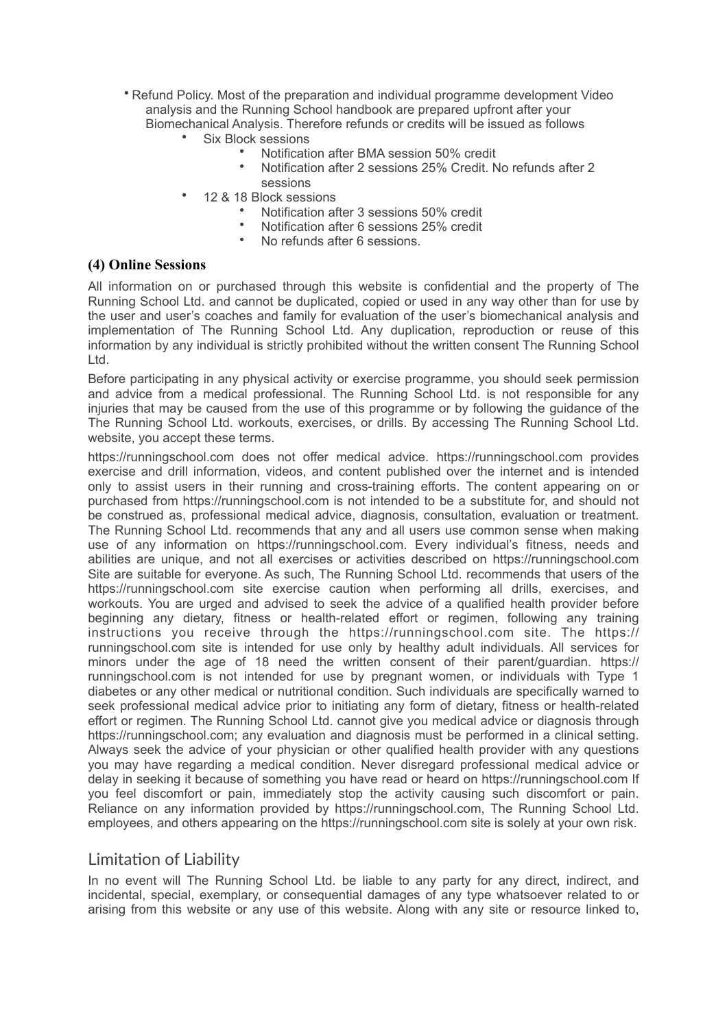- Refund Policy. Most of the preparation and individual programme development Video analysis and the Running School handbook are prepared upfront after your Biomechanical Analysis. Therefore refunds or credits will be issued as follows
	- Six Block sessions
		- Notification after BMA session 50% credit
		- Notification after 2 sessions 25% Credit. No refunds after 2 sessions
	- 12 & 18 Block sessions
		- Notification after 3 sessions 50% credit
		- Notification after 6 sessions 25% credit<br>• No refunds after 6 sessions
		- No refunds after 6 sessions.

#### **(4) Online Sessions**

All information on or purchased through this website is confidential and the property of The Running School Ltd. and cannot be duplicated, copied or used in any way other than for use by the user and user's coaches and family for evaluation of the user's biomechanical analysis and implementation of The Running School Ltd. Any duplication, reproduction or reuse of this information by any individual is strictly prohibited without the written consent The Running School Ltd.

Before participating in any physical activity or exercise programme, you should seek permission and advice from a medical professional. The Running School Ltd. is not responsible for any injuries that may be caused from the use of this programme or by following the guidance of the The Running School Ltd. workouts, exercises, or drills. By accessing The Running School Ltd. website, you accept these terms.

https://runningschool.com does not offer medical advice. https://runningschool.com provides exercise and drill information, videos, and content published over the internet and is intended only to assist users in their running and cross-training efforts. The content appearing on or purchased from https://runningschool.com is not intended to be a substitute for, and should not be construed as, professional medical advice, diagnosis, consultation, evaluation or treatment. The Running School Ltd. recommends that any and all users use common sense when making use of any information on https://runningschool.com. Every individual's fitness, needs and abilities are unique, and not all exercises or activities described on https://runningschool.com Site are suitable for everyone. As such, The Running School Ltd. recommends that users of the https://runningschool.com site exercise caution when performing all drills, exercises, and workouts. You are urged and advised to seek the advice of a qualified health provider before beginning any dietary, fitness or health-related effort or regimen, following any training instructions you receive through the https://runningschool.com site. The https:// runningschool.com site is intended for use only by healthy adult individuals. All services for minors under the age of 18 need the written consent of their parent/guardian. https:// runningschool.com is not intended for use by pregnant women, or individuals with Type 1 diabetes or any other medical or nutritional condition. Such individuals are specifically warned to seek professional medical advice prior to initiating any form of dietary, fitness or health-related effort or regimen. The Running School Ltd. cannot give you medical advice or diagnosis through https://runningschool.com; any evaluation and diagnosis must be performed in a clinical setting. Always seek the advice of your physician or other qualified health provider with any questions you may have regarding a medical condition. Never disregard professional medical advice or delay in seeking it because of something you have read or heard on https://runningschool.com If you feel discomfort or pain, immediately stop the activity causing such discomfort or pain. Reliance on any information provided by https://runningschool.com, The Running School Ltd. employees, and others appearing on the https://runningschool.com site is solely at your own risk.

# Limitation of Liability

In no event will The Running School Ltd. be liable to any party for any direct, indirect, and incidental, special, exemplary, or consequential damages of any type whatsoever related to or arising from this website or any use of this website. Along with any site or resource linked to,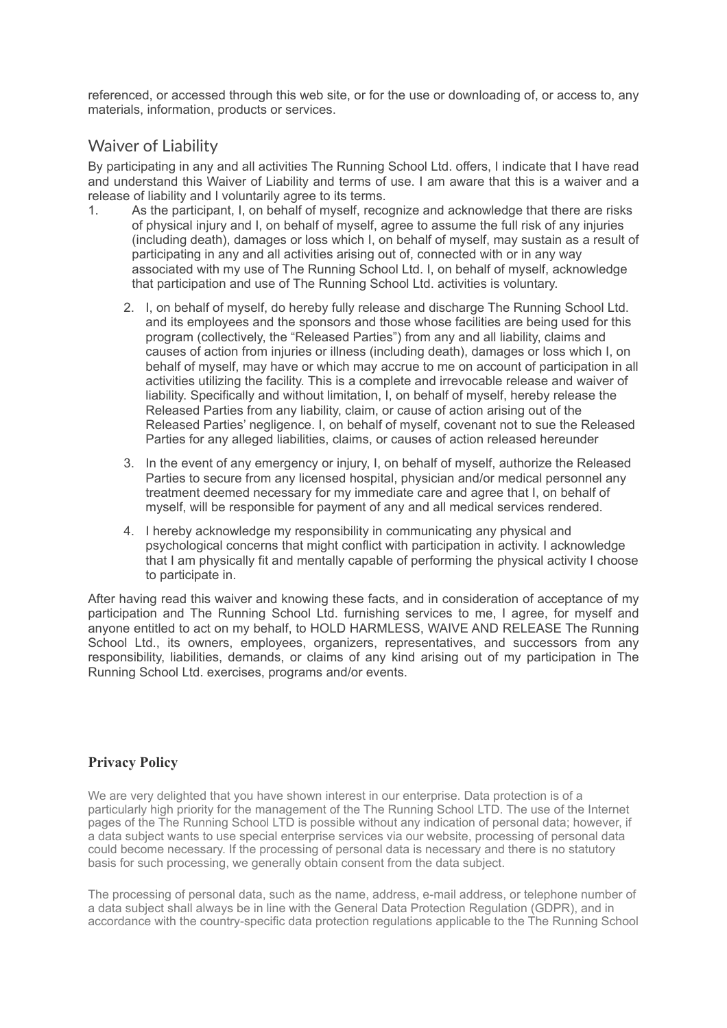referenced, or accessed through this web site, or for the use or downloading of, or access to, any materials, information, products or services.

# Waiver of Liability

By participating in any and all activities The Running School Ltd. offers, I indicate that I have read and understand this Waiver of Liability and terms of use. I am aware that this is a waiver and a release of liability and I voluntarily agree to its terms.

- 1. As the participant, I, on behalf of myself, recognize and acknowledge that there are risks of physical injury and I, on behalf of myself, agree to assume the full risk of any injuries (including death), damages or loss which I, on behalf of myself, may sustain as a result of participating in any and all activities arising out of, connected with or in any way associated with my use of The Running School Ltd. I, on behalf of myself, acknowledge that participation and use of The Running School Ltd. activities is voluntary.
	- 2. I, on behalf of myself, do hereby fully release and discharge The Running School Ltd. and its employees and the sponsors and those whose facilities are being used for this program (collectively, the "Released Parties") from any and all liability, claims and causes of action from injuries or illness (including death), damages or loss which I, on behalf of myself, may have or which may accrue to me on account of participation in all activities utilizing the facility. This is a complete and irrevocable release and waiver of liability. Specifically and without limitation, I, on behalf of myself, hereby release the Released Parties from any liability, claim, or cause of action arising out of the Released Parties' negligence. I, on behalf of myself, covenant not to sue the Released Parties for any alleged liabilities, claims, or causes of action released hereunder
	- 3. In the event of any emergency or injury, I, on behalf of myself, authorize the Released Parties to secure from any licensed hospital, physician and/or medical personnel any treatment deemed necessary for my immediate care and agree that I, on behalf of myself, will be responsible for payment of any and all medical services rendered.
	- 4. I hereby acknowledge my responsibility in communicating any physical and psychological concerns that might conflict with participation in activity. I acknowledge that I am physically fit and mentally capable of performing the physical activity I choose to participate in.

After having read this waiver and knowing these facts, and in consideration of acceptance of my participation and The Running School Ltd. furnishing services to me, I agree, for myself and anyone entitled to act on my behalf, to HOLD HARMLESS, WAIVE AND RELEASE The Running School Ltd., its owners, employees, organizers, representatives, and successors from any responsibility, liabilities, demands, or claims of any kind arising out of my participation in The Running School Ltd. exercises, programs and/or events.

# **Privacy Policy**

We are very delighted that you have shown interest in our enterprise. Data protection is of a particularly high priority for the management of the The Running School LTD. The use of the Internet pages of the The Running School LTD is possible without any indication of personal data; however, if a data subject wants to use special enterprise services via our website, processing of personal data could become necessary. If the processing of personal data is necessary and there is no statutory basis for such processing, we generally obtain consent from the data subject.

The processing of personal data, such as the name, address, e-mail address, or telephone number of a data subject shall always be in line with the General Data Protection Regulation (GDPR), and in accordance with the country-specific data protection regulations applicable to the The Running School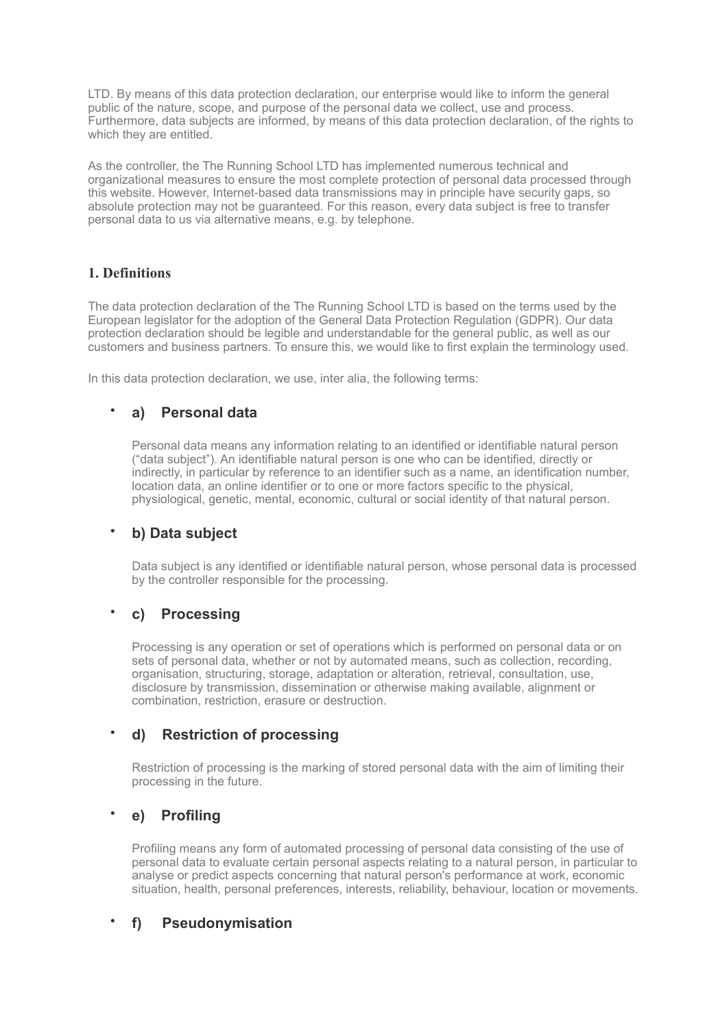LTD. By means of this data protection declaration, our enterprise would like to inform the general public of the nature, scope, and purpose of the personal data we collect, use and process. Furthermore, data subjects are informed, by means of this data protection declaration, of the rights to which they are entitled.

As the controller, the The Running School LTD has implemented numerous technical and organizational measures to ensure the most complete protection of personal data processed through this website. However, Internet-based data transmissions may in principle have security gaps, so absolute protection may not be guaranteed. For this reason, every data subject is free to transfer personal data to us via alternative means, e.g. by telephone.

#### **1. Definitions**

The data protection declaration of the The Running School LTD is based on the terms used by the European legislator for the adoption of the General Data Protection Regulation (GDPR). Our data protection declaration should be legible and understandable for the general public, as well as our customers and business partners. To ensure this, we would like to first explain the terminology used.

In this data protection declaration, we use, inter alia, the following terms:

# • **a) Personal data**

Personal data means any information relating to an identified or identifiable natural person ("data subject"). An identifiable natural person is one who can be identified, directly or indirectly, in particular by reference to an identifier such as a name, an identification number, location data, an online identifier or to one or more factors specific to the physical, physiological, genetic, mental, economic, cultural or social identity of that natural person.

# • **b) Data subject**

Data subject is any identified or identifiable natural person, whose personal data is processed by the controller responsible for the processing.

# • **c) Processing**

Processing is any operation or set of operations which is performed on personal data or on sets of personal data, whether or not by automated means, such as collection, recording, organisation, structuring, storage, adaptation or alteration, retrieval, consultation, use, disclosure by transmission, dissemination or otherwise making available, alignment or combination, restriction, erasure or destruction.

# • **d) Restriction of processing**

Restriction of processing is the marking of stored personal data with the aim of limiting their processing in the future.

# • **e) Profiling**

Profiling means any form of automated processing of personal data consisting of the use of personal data to evaluate certain personal aspects relating to a natural person, in particular to analyse or predict aspects concerning that natural person's performance at work, economic situation, health, personal preferences, interests, reliability, behaviour, location or movements.

# • **f) Pseudonymisation**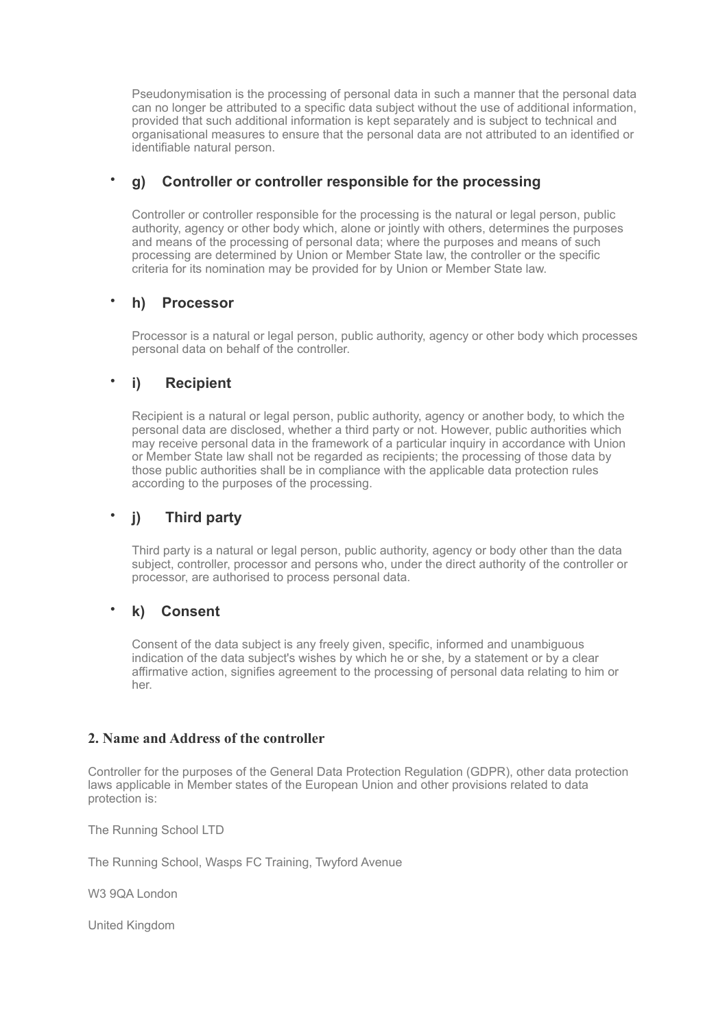Pseudonymisation is the processing of personal data in such a manner that the personal data can no longer be attributed to a specific data subject without the use of additional information, provided that such additional information is kept separately and is subject to technical and organisational measures to ensure that the personal data are not attributed to an identified or identifiable natural person.

# • **g) Controller or controller responsible for the processing**

Controller or controller responsible for the processing is the natural or legal person, public authority, agency or other body which, alone or jointly with others, determines the purposes and means of the processing of personal data; where the purposes and means of such processing are determined by Union or Member State law, the controller or the specific criteria for its nomination may be provided for by Union or Member State law.

# • **h) Processor**

Processor is a natural or legal person, public authority, agency or other body which processes personal data on behalf of the controller.

# • **i) Recipient**

Recipient is a natural or legal person, public authority, agency or another body, to which the personal data are disclosed, whether a third party or not. However, public authorities which may receive personal data in the framework of a particular inquiry in accordance with Union or Member State law shall not be regarded as recipients; the processing of those data by those public authorities shall be in compliance with the applicable data protection rules according to the purposes of the processing.

# • **j) Third party**

Third party is a natural or legal person, public authority, agency or body other than the data subject, controller, processor and persons who, under the direct authority of the controller or processor, are authorised to process personal data.

# • **k) Consent**

Consent of the data subject is any freely given, specific, informed and unambiguous indication of the data subject's wishes by which he or she, by a statement or by a clear affirmative action, signifies agreement to the processing of personal data relating to him or her.

#### **2. Name and Address of the controller**

Controller for the purposes of the General Data Protection Regulation (GDPR), other data protection laws applicable in Member states of the European Union and other provisions related to data protection is:

The Running School LTD

The Running School, Wasps FC Training, Twyford Avenue

W3 9QA London

United Kingdom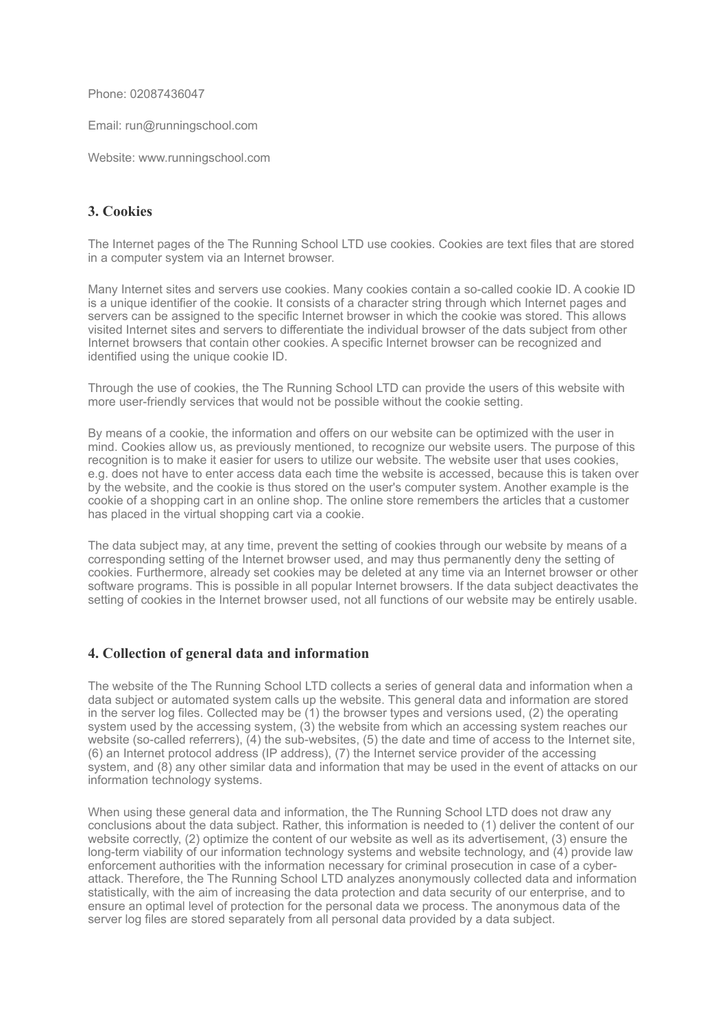Phone: 02087436047

Email: run@runningschool.com

Website: www.runningschool.com

### **3. Cookies**

The Internet pages of the The Running School LTD use cookies. Cookies are text files that are stored in a computer system via an Internet browser.

Many Internet sites and servers use cookies. Many cookies contain a so-called cookie ID. A cookie ID is a unique identifier of the cookie. It consists of a character string through which Internet pages and servers can be assigned to the specific Internet browser in which the cookie was stored. This allows visited Internet sites and servers to differentiate the individual browser of the dats subject from other Internet browsers that contain other cookies. A specific Internet browser can be recognized and identified using the unique cookie ID.

Through the use of cookies, the The Running School LTD can provide the users of this website with more user-friendly services that would not be possible without the cookie setting.

By means of a cookie, the information and offers on our website can be optimized with the user in mind. Cookies allow us, as previously mentioned, to recognize our website users. The purpose of this recognition is to make it easier for users to utilize our website. The website user that uses cookies, e.g. does not have to enter access data each time the website is accessed, because this is taken over by the website, and the cookie is thus stored on the user's computer system. Another example is the cookie of a shopping cart in an online shop. The online store remembers the articles that a customer has placed in the virtual shopping cart via a cookie.

The data subject may, at any time, prevent the setting of cookies through our website by means of a corresponding setting of the Internet browser used, and may thus permanently deny the setting of cookies. Furthermore, already set cookies may be deleted at any time via an Internet browser or other software programs. This is possible in all popular Internet browsers. If the data subject deactivates the setting of cookies in the Internet browser used, not all functions of our website may be entirely usable.

#### **4. Collection of general data and information**

The website of the The Running School LTD collects a series of general data and information when a data subject or automated system calls up the website. This general data and information are stored in the server log files. Collected may be (1) the browser types and versions used, (2) the operating system used by the accessing system, (3) the website from which an accessing system reaches our website (so-called referrers), (4) the sub-websites, (5) the date and time of access to the Internet site, (6) an Internet protocol address (IP address), (7) the Internet service provider of the accessing system, and (8) any other similar data and information that may be used in the event of attacks on our information technology systems.

When using these general data and information, the The Running School LTD does not draw any conclusions about the data subject. Rather, this information is needed to (1) deliver the content of our website correctly, (2) optimize the content of our website as well as its advertisement, (3) ensure the long-term viability of our information technology systems and website technology, and (4) provide law enforcement authorities with the information necessary for criminal prosecution in case of a cyberattack. Therefore, the The Running School LTD analyzes anonymously collected data and information statistically, with the aim of increasing the data protection and data security of our enterprise, and to ensure an optimal level of protection for the personal data we process. The anonymous data of the server log files are stored separately from all personal data provided by a data subject.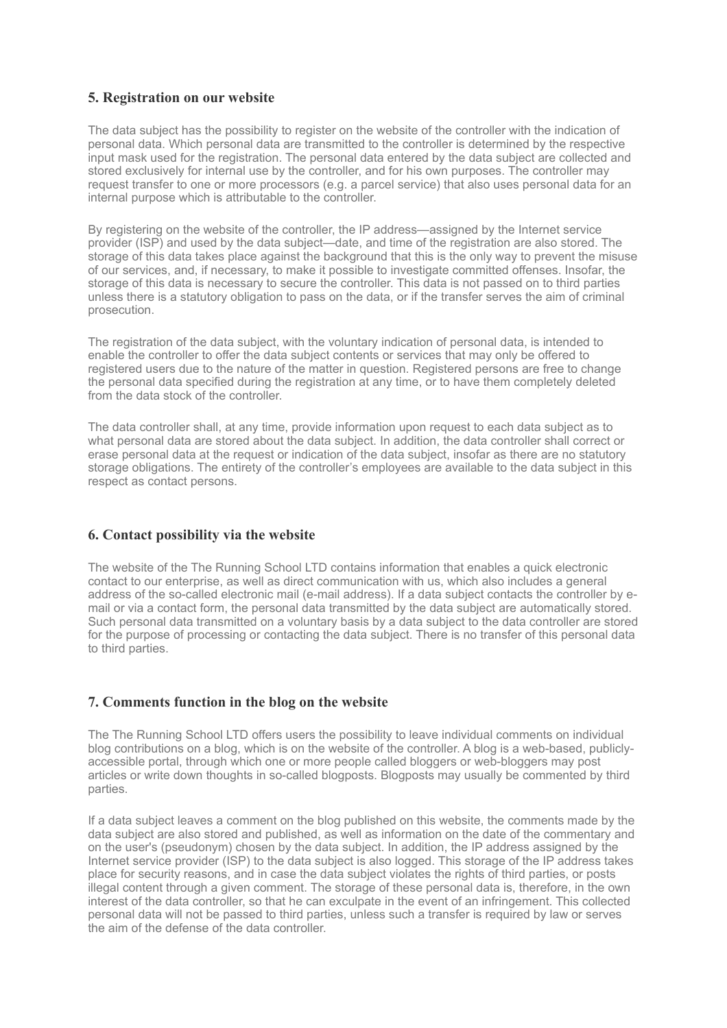### **5. Registration on our website**

The data subject has the possibility to register on the website of the controller with the indication of personal data. Which personal data are transmitted to the controller is determined by the respective input mask used for the registration. The personal data entered by the data subject are collected and stored exclusively for internal use by the controller, and for his own purposes. The controller may request transfer to one or more processors (e.g. a parcel service) that also uses personal data for an internal purpose which is attributable to the controller.

By registering on the website of the controller, the IP address—assigned by the Internet service provider (ISP) and used by the data subject—date, and time of the registration are also stored. The storage of this data takes place against the background that this is the only way to prevent the misuse of our services, and, if necessary, to make it possible to investigate committed offenses. Insofar, the storage of this data is necessary to secure the controller. This data is not passed on to third parties unless there is a statutory obligation to pass on the data, or if the transfer serves the aim of criminal prosecution.

The registration of the data subject, with the voluntary indication of personal data, is intended to enable the controller to offer the data subject contents or services that may only be offered to registered users due to the nature of the matter in question. Registered persons are free to change the personal data specified during the registration at any time, or to have them completely deleted from the data stock of the controller.

The data controller shall, at any time, provide information upon request to each data subject as to what personal data are stored about the data subject. In addition, the data controller shall correct or erase personal data at the request or indication of the data subject, insofar as there are no statutory storage obligations. The entirety of the controller's employees are available to the data subject in this respect as contact persons.

#### **6. Contact possibility via the website**

The website of the The Running School LTD contains information that enables a quick electronic contact to our enterprise, as well as direct communication with us, which also includes a general address of the so-called electronic mail (e-mail address). If a data subject contacts the controller by email or via a contact form, the personal data transmitted by the data subject are automatically stored. Such personal data transmitted on a voluntary basis by a data subject to the data controller are stored for the purpose of processing or contacting the data subject. There is no transfer of this personal data to third parties.

#### **7. Comments function in the blog on the website**

The The Running School LTD offers users the possibility to leave individual comments on individual blog contributions on a blog, which is on the website of the controller. A blog is a web-based, publiclyaccessible portal, through which one or more people called bloggers or web-bloggers may post articles or write down thoughts in so-called blogposts. Blogposts may usually be commented by third parties.

If a data subject leaves a comment on the blog published on this website, the comments made by the data subject are also stored and published, as well as information on the date of the commentary and on the user's (pseudonym) chosen by the data subject. In addition, the IP address assigned by the Internet service provider (ISP) to the data subject is also logged. This storage of the IP address takes place for security reasons, and in case the data subject violates the rights of third parties, or posts illegal content through a given comment. The storage of these personal data is, therefore, in the own interest of the data controller, so that he can exculpate in the event of an infringement. This collected personal data will not be passed to third parties, unless such a transfer is required by law or serves the aim of the defense of the data controller.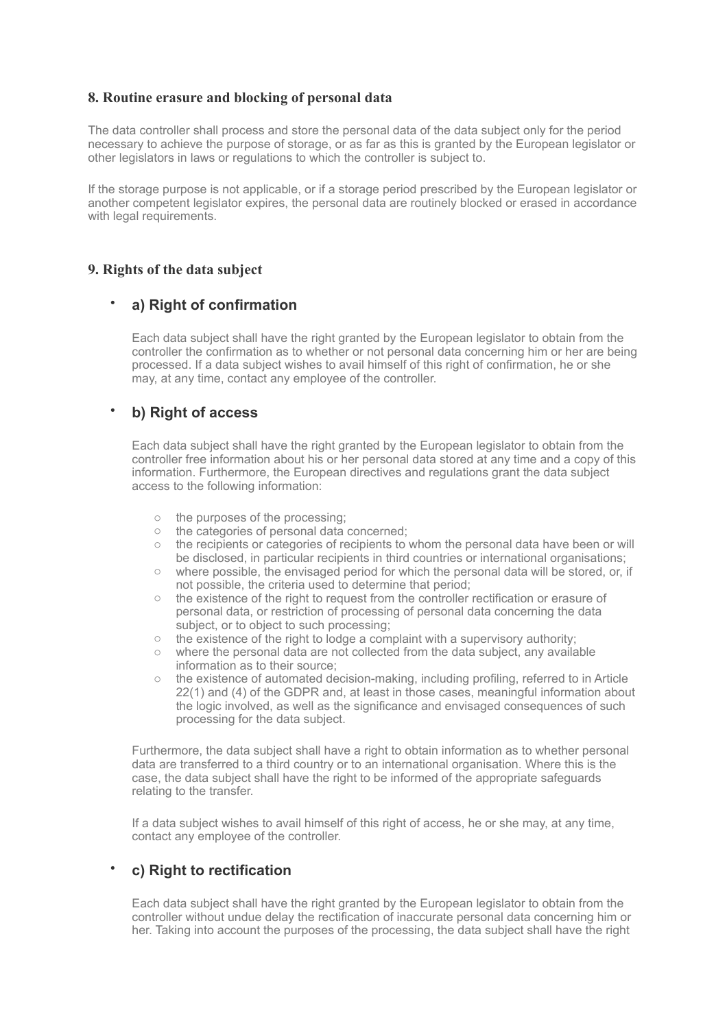### **8. Routine erasure and blocking of personal data**

The data controller shall process and store the personal data of the data subject only for the period necessary to achieve the purpose of storage, or as far as this is granted by the European legislator or other legislators in laws or regulations to which the controller is subject to.

If the storage purpose is not applicable, or if a storage period prescribed by the European legislator or another competent legislator expires, the personal data are routinely blocked or erased in accordance with legal requirements.

#### **9. Rights of the data subject**

### • **a) Right of confirmation**

Each data subject shall have the right granted by the European legislator to obtain from the controller the confirmation as to whether or not personal data concerning him or her are being processed. If a data subject wishes to avail himself of this right of confirmation, he or she may, at any time, contact any employee of the controller.

### • **b) Right of access**

Each data subject shall have the right granted by the European legislator to obtain from the controller free information about his or her personal data stored at any time and a copy of this information. Furthermore, the European directives and regulations grant the data subject access to the following information:

- o the purposes of the processing;
- o the categories of personal data concerned;
- $\circ$  the recipients or categories of recipients to whom the personal data have been or will be disclosed, in particular recipients in third countries or international organisations;
- $\circ$  where possible, the envisaged period for which the personal data will be stored, or, if not possible, the criteria used to determine that period;
- o the existence of the right to request from the controller rectification or erasure of personal data, or restriction of processing of personal data concerning the data subject, or to object to such processing;
- $\circ$  the existence of the right to lodge a complaint with a supervisory authority;
- $\circ$  where the personal data are not collected from the data subject, any available information as to their source;
- the existence of automated decision-making, including profiling, referred to in Article 22(1) and (4) of the GDPR and, at least in those cases, meaningful information about the logic involved, as well as the significance and envisaged consequences of such processing for the data subject.

Furthermore, the data subject shall have a right to obtain information as to whether personal data are transferred to a third country or to an international organisation. Where this is the case, the data subject shall have the right to be informed of the appropriate safeguards relating to the transfer.

If a data subject wishes to avail himself of this right of access, he or she may, at any time, contact any employee of the controller.

# • **c) Right to rectification**

Each data subject shall have the right granted by the European legislator to obtain from the controller without undue delay the rectification of inaccurate personal data concerning him or her. Taking into account the purposes of the processing, the data subject shall have the right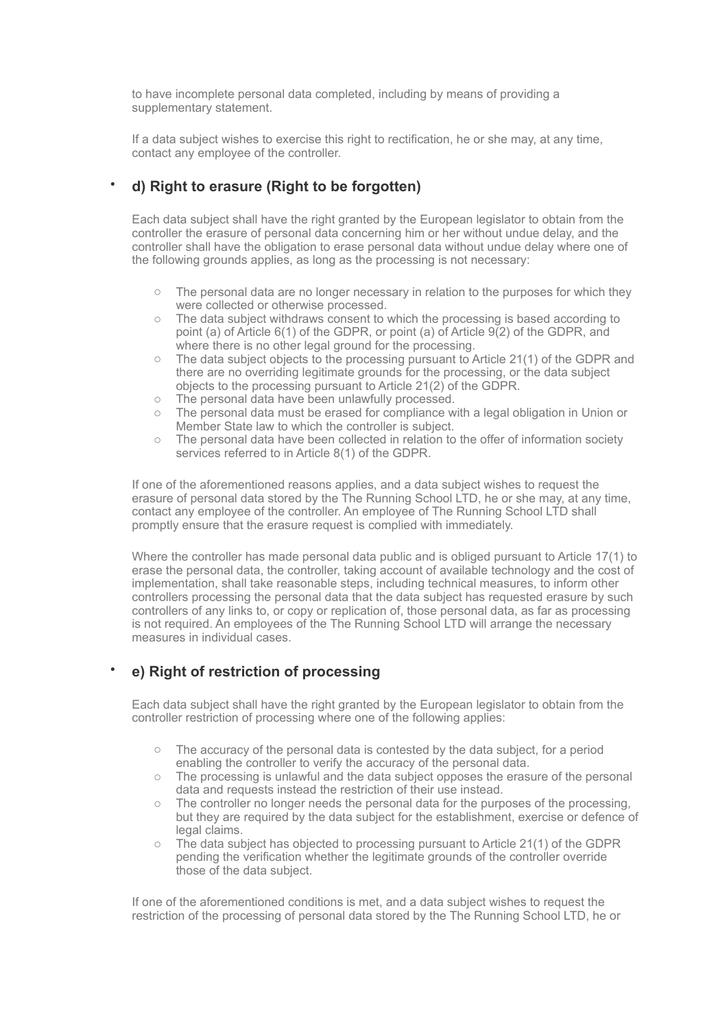to have incomplete personal data completed, including by means of providing a supplementary statement.

If a data subject wishes to exercise this right to rectification, he or she may, at any time, contact any employee of the controller.

# • **d) Right to erasure (Right to be forgotten)**

Each data subject shall have the right granted by the European legislator to obtain from the controller the erasure of personal data concerning him or her without undue delay, and the controller shall have the obligation to erase personal data without undue delay where one of the following grounds applies, as long as the processing is not necessary:

- $\circ$  The personal data are no longer necessary in relation to the purposes for which they were collected or otherwise processed.
- o The data subject withdraws consent to which the processing is based according to point (a) of Article 6(1) of the GDPR, or point (a) of Article 9(2) of the GDPR, and where there is no other legal ground for the processing.
- $\circ$  The data subject objects to the processing pursuant to Article 21(1) of the GDPR and there are no overriding legitimate grounds for the processing, or the data subject objects to the processing pursuant to Article 21(2) of the GDPR.
- o The personal data have been unlawfully processed.
- o The personal data must be erased for compliance with a legal obligation in Union or Member State law to which the controller is subject.
- $\circ$  The personal data have been collected in relation to the offer of information society services referred to in Article 8(1) of the GDPR.

If one of the aforementioned reasons applies, and a data subject wishes to request the erasure of personal data stored by the The Running School LTD, he or she may, at any time, contact any employee of the controller. An employee of The Running School LTD shall promptly ensure that the erasure request is complied with immediately.

Where the controller has made personal data public and is obliged pursuant to Article 17(1) to erase the personal data, the controller, taking account of available technology and the cost of implementation, shall take reasonable steps, including technical measures, to inform other controllers processing the personal data that the data subject has requested erasure by such controllers of any links to, or copy or replication of, those personal data, as far as processing is not required. An employees of the The Running School LTD will arrange the necessary measures in individual cases.

# • **e) Right of restriction of processing**

Each data subject shall have the right granted by the European legislator to obtain from the controller restriction of processing where one of the following applies:

- $\circ$  The accuracy of the personal data is contested by the data subject, for a period enabling the controller to verify the accuracy of the personal data.
- $\circ$  The processing is unlawful and the data subject opposes the erasure of the personal data and requests instead the restriction of their use instead.
- o The controller no longer needs the personal data for the purposes of the processing, but they are required by the data subject for the establishment, exercise or defence of legal claims.
- The data subject has objected to processing pursuant to Article 21(1) of the GDPR pending the verification whether the legitimate grounds of the controller override those of the data subject.

If one of the aforementioned conditions is met, and a data subject wishes to request the restriction of the processing of personal data stored by the The Running School LTD, he or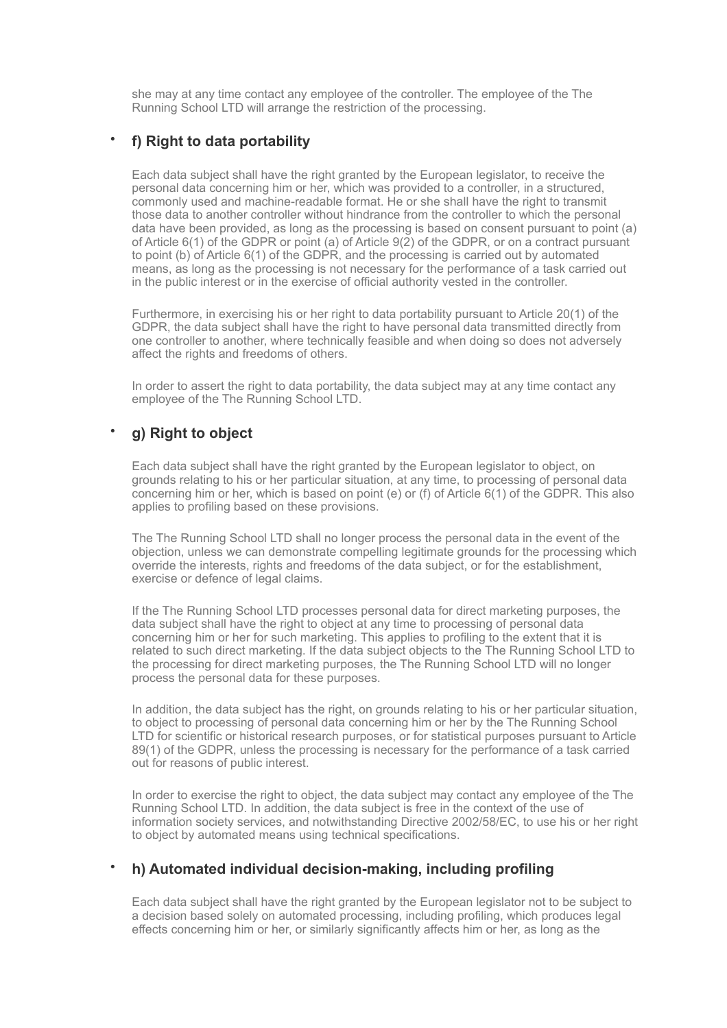she may at any time contact any employee of the controller. The employee of the The Running School LTD will arrange the restriction of the processing.

### • **f) Right to data portability**

Each data subject shall have the right granted by the European legislator, to receive the personal data concerning him or her, which was provided to a controller, in a structured, commonly used and machine-readable format. He or she shall have the right to transmit those data to another controller without hindrance from the controller to which the personal data have been provided, as long as the processing is based on consent pursuant to point (a) of Article 6(1) of the GDPR or point (a) of Article 9(2) of the GDPR, or on a contract pursuant to point (b) of Article 6(1) of the GDPR, and the processing is carried out by automated means, as long as the processing is not necessary for the performance of a task carried out in the public interest or in the exercise of official authority vested in the controller.

Furthermore, in exercising his or her right to data portability pursuant to Article 20(1) of the GDPR, the data subject shall have the right to have personal data transmitted directly from one controller to another, where technically feasible and when doing so does not adversely affect the rights and freedoms of others.

In order to assert the right to data portability, the data subject may at any time contact any employee of the The Running School LTD.

# • **g) Right to object**

Each data subject shall have the right granted by the European legislator to object, on grounds relating to his or her particular situation, at any time, to processing of personal data concerning him or her, which is based on point (e) or (f) of Article 6(1) of the GDPR. This also applies to profiling based on these provisions.

The The Running School LTD shall no longer process the personal data in the event of the objection, unless we can demonstrate compelling legitimate grounds for the processing which override the interests, rights and freedoms of the data subject, or for the establishment, exercise or defence of legal claims.

If the The Running School LTD processes personal data for direct marketing purposes, the data subject shall have the right to object at any time to processing of personal data concerning him or her for such marketing. This applies to profiling to the extent that it is related to such direct marketing. If the data subject objects to the The Running School LTD to the processing for direct marketing purposes, the The Running School LTD will no longer process the personal data for these purposes.

In addition, the data subject has the right, on grounds relating to his or her particular situation, to object to processing of personal data concerning him or her by the The Running School LTD for scientific or historical research purposes, or for statistical purposes pursuant to Article 89(1) of the GDPR, unless the processing is necessary for the performance of a task carried out for reasons of public interest.

In order to exercise the right to object, the data subject may contact any employee of the The Running School LTD. In addition, the data subject is free in the context of the use of information society services, and notwithstanding Directive 2002/58/EC, to use his or her right to object by automated means using technical specifications.

#### • **h) Automated individual decision-making, including profiling**

Each data subject shall have the right granted by the European legislator not to be subject to a decision based solely on automated processing, including profiling, which produces legal effects concerning him or her, or similarly significantly affects him or her, as long as the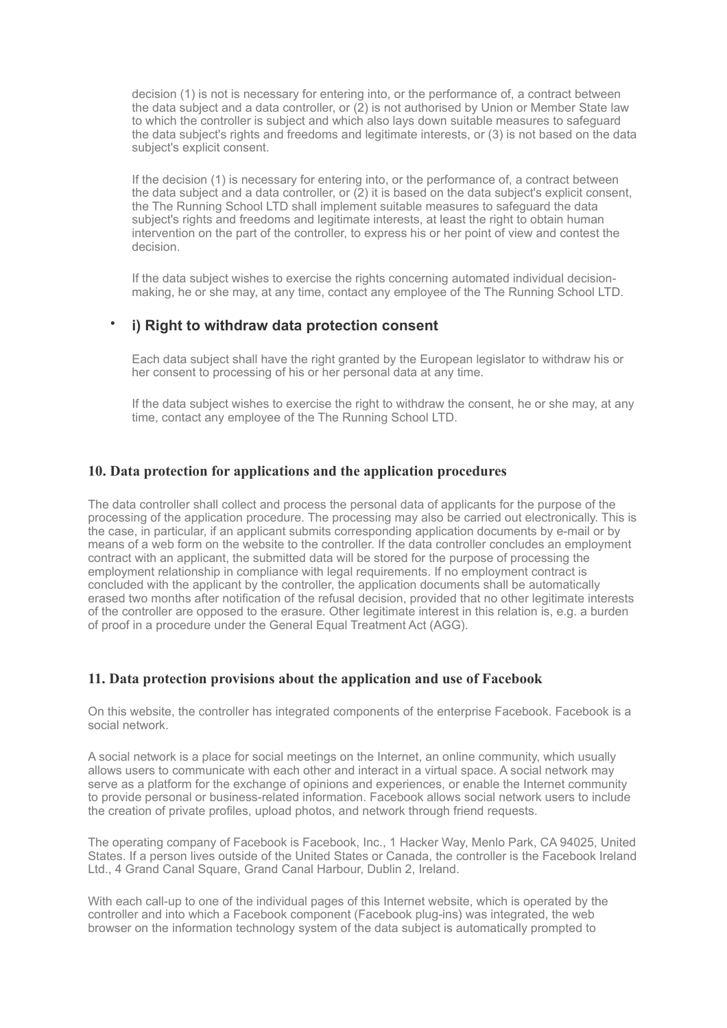decision (1) is not is necessary for entering into, or the performance of, a contract between the data subject and a data controller, or (2) is not authorised by Union or Member State law to which the controller is subject and which also lays down suitable measures to safeguard the data subject's rights and freedoms and legitimate interests, or (3) is not based on the data subject's explicit consent.

If the decision (1) is necessary for entering into, or the performance of, a contract between the data subject and a data controller, or (2) it is based on the data subject's explicit consent, the The Running School LTD shall implement suitable measures to safeguard the data subject's rights and freedoms and legitimate interests, at least the right to obtain human intervention on the part of the controller, to express his or her point of view and contest the decision.

If the data subject wishes to exercise the rights concerning automated individual decisionmaking, he or she may, at any time, contact any employee of the The Running School LTD.

#### • **i) Right to withdraw data protection consent**

Each data subject shall have the right granted by the European legislator to withdraw his or her consent to processing of his or her personal data at any time.

If the data subject wishes to exercise the right to withdraw the consent, he or she may, at any time, contact any employee of the The Running School LTD.

#### **10. Data protection for applications and the application procedures**

The data controller shall collect and process the personal data of applicants for the purpose of the processing of the application procedure. The processing may also be carried out electronically. This is the case, in particular, if an applicant submits corresponding application documents by e-mail or by means of a web form on the website to the controller. If the data controller concludes an employment contract with an applicant, the submitted data will be stored for the purpose of processing the employment relationship in compliance with legal requirements. If no employment contract is concluded with the applicant by the controller, the application documents shall be automatically erased two months after notification of the refusal decision, provided that no other legitimate interests of the controller are opposed to the erasure. Other legitimate interest in this relation is, e.g. a burden of proof in a procedure under the General Equal Treatment Act (AGG).

#### **11. Data protection provisions about the application and use of Facebook**

On this website, the controller has integrated components of the enterprise Facebook. Facebook is a social network.

A social network is a place for social meetings on the Internet, an online community, which usually allows users to communicate with each other and interact in a virtual space. A social network may serve as a platform for the exchange of opinions and experiences, or enable the Internet community to provide personal or business-related information. Facebook allows social network users to include the creation of private profiles, upload photos, and network through friend requests.

The operating company of Facebook is Facebook, Inc., 1 Hacker Way, Menlo Park, CA 94025, United States. If a person lives outside of the United States or Canada, the controller is the Facebook Ireland Ltd., 4 Grand Canal Square, Grand Canal Harbour, Dublin 2, Ireland.

With each call-up to one of the individual pages of this Internet website, which is operated by the controller and into which a Facebook component (Facebook plug-ins) was integrated, the web browser on the information technology system of the data subject is automatically prompted to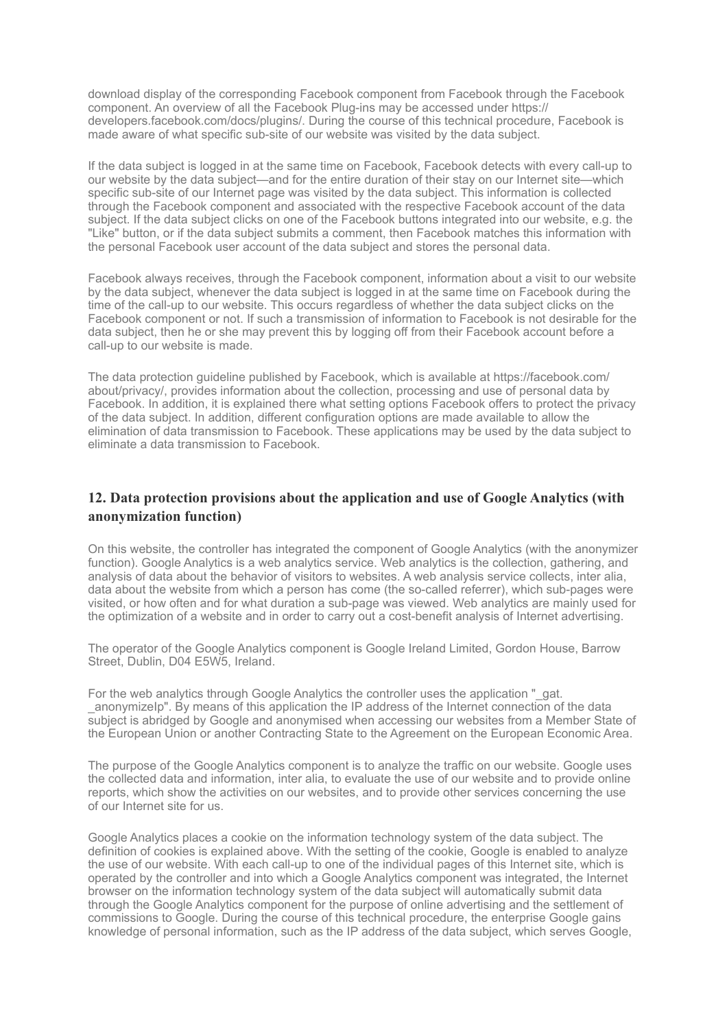download display of the corresponding Facebook component from Facebook through the Facebook component. An overview of all the Facebook Plug-ins may be accessed under https:// developers.facebook.com/docs/plugins/. During the course of this technical procedure, Facebook is made aware of what specific sub-site of our website was visited by the data subject.

If the data subject is logged in at the same time on Facebook, Facebook detects with every call-up to our website by the data subject—and for the entire duration of their stay on our Internet site—which specific sub-site of our Internet page was visited by the data subject. This information is collected through the Facebook component and associated with the respective Facebook account of the data subject. If the data subject clicks on one of the Facebook buttons integrated into our website, e.g. the "Like" button, or if the data subject submits a comment, then Facebook matches this information with the personal Facebook user account of the data subject and stores the personal data.

Facebook always receives, through the Facebook component, information about a visit to our website by the data subject, whenever the data subject is logged in at the same time on Facebook during the time of the call-up to our website. This occurs regardless of whether the data subject clicks on the Facebook component or not. If such a transmission of information to Facebook is not desirable for the data subject, then he or she may prevent this by logging off from their Facebook account before a call-up to our website is made.

The data protection guideline published by Facebook, which is available at https://facebook.com/ about/privacy/, provides information about the collection, processing and use of personal data by Facebook. In addition, it is explained there what setting options Facebook offers to protect the privacy of the data subject. In addition, different configuration options are made available to allow the elimination of data transmission to Facebook. These applications may be used by the data subject to eliminate a data transmission to Facebook.

#### **12. Data protection provisions about the application and use of Google Analytics (with anonymization function)**

On this website, the controller has integrated the component of Google Analytics (with the anonymizer function). Google Analytics is a web analytics service. Web analytics is the collection, gathering, and analysis of data about the behavior of visitors to websites. A web analysis service collects, inter alia, data about the website from which a person has come (the so-called referrer), which sub-pages were visited, or how often and for what duration a sub-page was viewed. Web analytics are mainly used for the optimization of a website and in order to carry out a cost-benefit analysis of Internet advertising.

The operator of the Google Analytics component is Google Ireland Limited, Gordon House, Barrow Street, Dublin, D04 E5W5, Ireland.

For the web analytics through Google Analytics the controller uses the application " gat. \_anonymizeIp". By means of this application the IP address of the Internet connection of the data subject is abridged by Google and anonymised when accessing our websites from a Member State of the European Union or another Contracting State to the Agreement on the European Economic Area.

The purpose of the Google Analytics component is to analyze the traffic on our website. Google uses the collected data and information, inter alia, to evaluate the use of our website and to provide online reports, which show the activities on our websites, and to provide other services concerning the use of our Internet site for us.

Google Analytics places a cookie on the information technology system of the data subject. The definition of cookies is explained above. With the setting of the cookie, Google is enabled to analyze the use of our website. With each call-up to one of the individual pages of this Internet site, which is operated by the controller and into which a Google Analytics component was integrated, the Internet browser on the information technology system of the data subject will automatically submit data through the Google Analytics component for the purpose of online advertising and the settlement of commissions to Google. During the course of this technical procedure, the enterprise Google gains knowledge of personal information, such as the IP address of the data subject, which serves Google,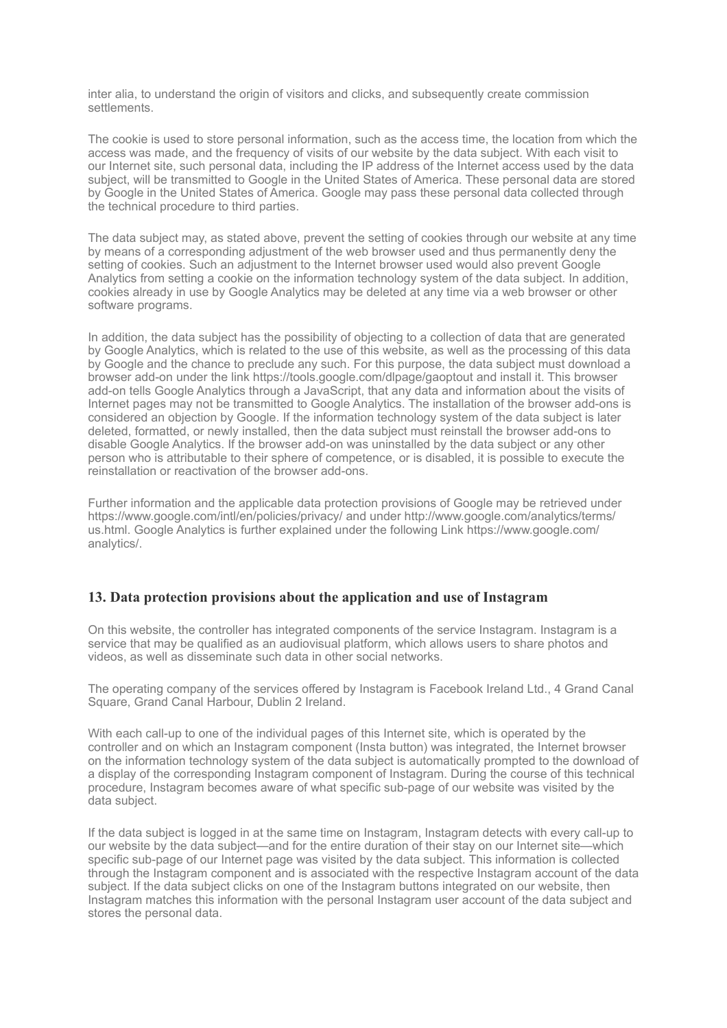inter alia, to understand the origin of visitors and clicks, and subsequently create commission settlements.

The cookie is used to store personal information, such as the access time, the location from which the access was made, and the frequency of visits of our website by the data subject. With each visit to our Internet site, such personal data, including the IP address of the Internet access used by the data subject, will be transmitted to Google in the United States of America. These personal data are stored by Google in the United States of America. Google may pass these personal data collected through the technical procedure to third parties.

The data subject may, as stated above, prevent the setting of cookies through our website at any time by means of a corresponding adjustment of the web browser used and thus permanently deny the setting of cookies. Such an adjustment to the Internet browser used would also prevent Google Analytics from setting a cookie on the information technology system of the data subject. In addition, cookies already in use by Google Analytics may be deleted at any time via a web browser or other software programs.

In addition, the data subject has the possibility of objecting to a collection of data that are generated by Google Analytics, which is related to the use of this website, as well as the processing of this data by Google and the chance to preclude any such. For this purpose, the data subject must download a browser add-on under the link https://tools.google.com/dlpage/gaoptout and install it. This browser add-on tells Google Analytics through a JavaScript, that any data and information about the visits of Internet pages may not be transmitted to Google Analytics. The installation of the browser add-ons is considered an objection by Google. If the information technology system of the data subject is later deleted, formatted, or newly installed, then the data subject must reinstall the browser add-ons to disable Google Analytics. If the browser add-on was uninstalled by the data subject or any other person who is attributable to their sphere of competence, or is disabled, it is possible to execute the reinstallation or reactivation of the browser add-ons.

Further information and the applicable data protection provisions of Google may be retrieved under https://www.google.com/intl/en/policies/privacy/ and under http://www.google.com/analytics/terms/ us.html. Google Analytics is further explained under the following Link https://www.google.com/ analytics/.

#### **13. Data protection provisions about the application and use of Instagram**

On this website, the controller has integrated components of the service Instagram. Instagram is a service that may be qualified as an audiovisual platform, which allows users to share photos and videos, as well as disseminate such data in other social networks.

The operating company of the services offered by Instagram is Facebook Ireland Ltd., 4 Grand Canal Square, Grand Canal Harbour, Dublin 2 Ireland.

With each call-up to one of the individual pages of this Internet site, which is operated by the controller and on which an Instagram component (Insta button) was integrated, the Internet browser on the information technology system of the data subject is automatically prompted to the download of a display of the corresponding Instagram component of Instagram. During the course of this technical procedure, Instagram becomes aware of what specific sub-page of our website was visited by the data subject.

If the data subject is logged in at the same time on Instagram, Instagram detects with every call-up to our website by the data subject—and for the entire duration of their stay on our Internet site—which specific sub-page of our Internet page was visited by the data subject. This information is collected through the Instagram component and is associated with the respective Instagram account of the data subject. If the data subject clicks on one of the Instagram buttons integrated on our website, then Instagram matches this information with the personal Instagram user account of the data subject and stores the personal data.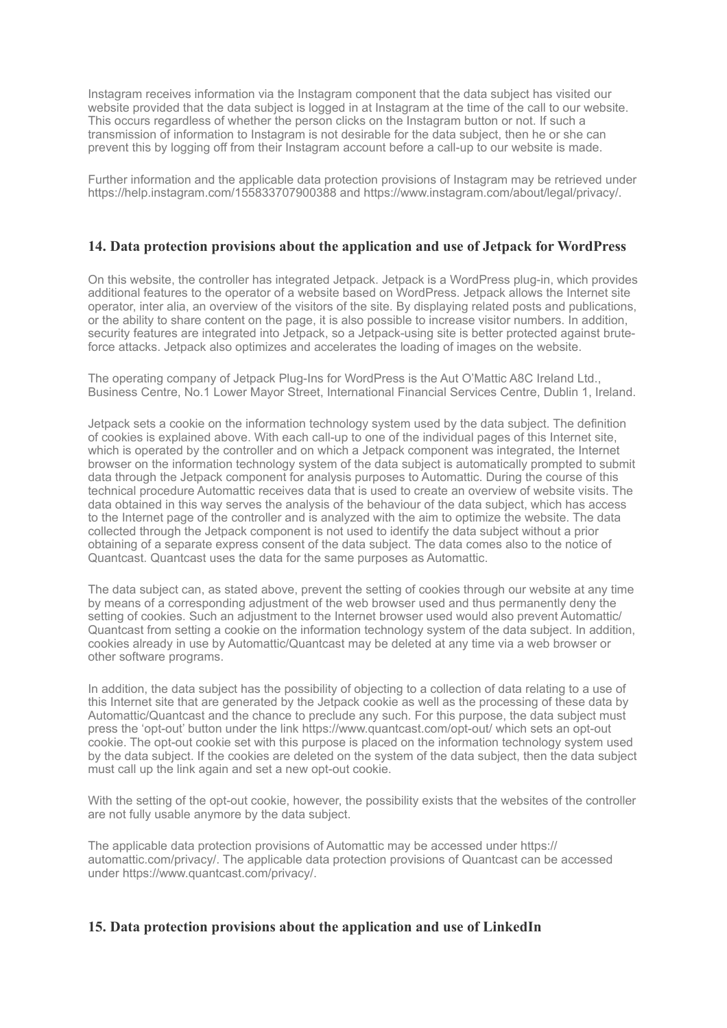Instagram receives information via the Instagram component that the data subject has visited our website provided that the data subject is logged in at Instagram at the time of the call to our website. This occurs regardless of whether the person clicks on the Instagram button or not. If such a transmission of information to Instagram is not desirable for the data subject, then he or she can prevent this by logging off from their Instagram account before a call-up to our website is made.

Further information and the applicable data protection provisions of Instagram may be retrieved under https://help.instagram.com/155833707900388 and https://www.instagram.com/about/legal/privacy/.

#### **14. Data protection provisions about the application and use of Jetpack for WordPress**

On this website, the controller has integrated Jetpack. Jetpack is a WordPress plug-in, which provides additional features to the operator of a website based on WordPress. Jetpack allows the Internet site operator, inter alia, an overview of the visitors of the site. By displaying related posts and publications, or the ability to share content on the page, it is also possible to increase visitor numbers. In addition, security features are integrated into Jetpack, so a Jetpack-using site is better protected against bruteforce attacks. Jetpack also optimizes and accelerates the loading of images on the website.

The operating company of Jetpack Plug-Ins for WordPress is the Aut O'Mattic A8C Ireland Ltd., Business Centre, No.1 Lower Mayor Street, International Financial Services Centre, Dublin 1, Ireland.

Jetpack sets a cookie on the information technology system used by the data subject. The definition of cookies is explained above. With each call-up to one of the individual pages of this Internet site, which is operated by the controller and on which a Jetpack component was integrated, the Internet browser on the information technology system of the data subject is automatically prompted to submit data through the Jetpack component for analysis purposes to Automattic. During the course of this technical procedure Automattic receives data that is used to create an overview of website visits. The data obtained in this way serves the analysis of the behaviour of the data subject, which has access to the Internet page of the controller and is analyzed with the aim to optimize the website. The data collected through the Jetpack component is not used to identify the data subject without a prior obtaining of a separate express consent of the data subject. The data comes also to the notice of Quantcast. Quantcast uses the data for the same purposes as Automattic.

The data subject can, as stated above, prevent the setting of cookies through our website at any time by means of a corresponding adjustment of the web browser used and thus permanently deny the setting of cookies. Such an adjustment to the Internet browser used would also prevent Automattic/ Quantcast from setting a cookie on the information technology system of the data subject. In addition, cookies already in use by Automattic/Quantcast may be deleted at any time via a web browser or other software programs.

In addition, the data subject has the possibility of objecting to a collection of data relating to a use of this Internet site that are generated by the Jetpack cookie as well as the processing of these data by Automattic/Quantcast and the chance to preclude any such. For this purpose, the data subject must press the 'opt-out' button under the link https://www.quantcast.com/opt-out/ which sets an opt-out cookie. The opt-out cookie set with this purpose is placed on the information technology system used by the data subject. If the cookies are deleted on the system of the data subject, then the data subject must call up the link again and set a new opt-out cookie.

With the setting of the opt-out cookie, however, the possibility exists that the websites of the controller are not fully usable anymore by the data subject.

The applicable data protection provisions of Automattic may be accessed under https:// automattic.com/privacy/. The applicable data protection provisions of Quantcast can be accessed under https://www.quantcast.com/privacy/.

#### **15. Data protection provisions about the application and use of LinkedIn**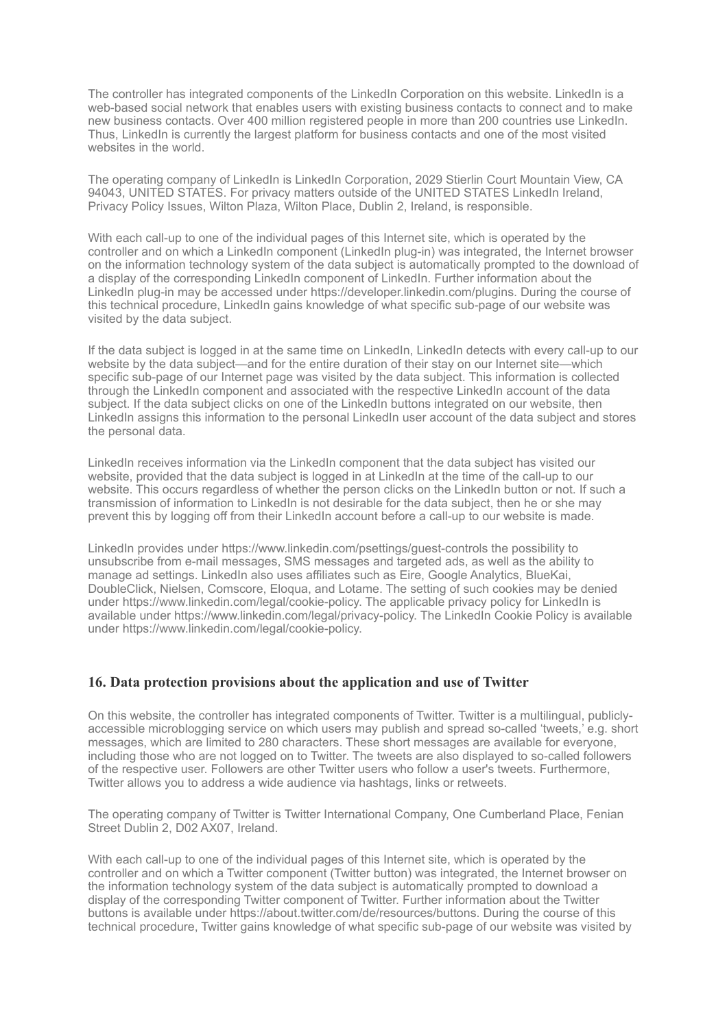The controller has integrated components of the LinkedIn Corporation on this website. LinkedIn is a web-based social network that enables users with existing business contacts to connect and to make new business contacts. Over 400 million registered people in more than 200 countries use LinkedIn. Thus, LinkedIn is currently the largest platform for business contacts and one of the most visited websites in the world.

The operating company of LinkedIn is LinkedIn Corporation, 2029 Stierlin Court Mountain View, CA 94043, UNITED STATES. For privacy matters outside of the UNITED STATES LinkedIn Ireland. Privacy Policy Issues, Wilton Plaza, Wilton Place, Dublin 2, Ireland, is responsible.

With each call-up to one of the individual pages of this Internet site, which is operated by the controller and on which a LinkedIn component (LinkedIn plug-in) was integrated, the Internet browser on the information technology system of the data subject is automatically prompted to the download of a display of the corresponding LinkedIn component of LinkedIn. Further information about the LinkedIn plug-in may be accessed under https://developer.linkedin.com/plugins. During the course of this technical procedure, LinkedIn gains knowledge of what specific sub-page of our website was visited by the data subject.

If the data subject is logged in at the same time on LinkedIn, LinkedIn detects with every call-up to our website by the data subject—and for the entire duration of their stay on our Internet site—which specific sub-page of our Internet page was visited by the data subject. This information is collected through the LinkedIn component and associated with the respective LinkedIn account of the data subject. If the data subject clicks on one of the LinkedIn buttons integrated on our website, then LinkedIn assigns this information to the personal LinkedIn user account of the data subject and stores the personal data.

LinkedIn receives information via the LinkedIn component that the data subject has visited our website, provided that the data subject is logged in at LinkedIn at the time of the call-up to our website. This occurs regardless of whether the person clicks on the LinkedIn button or not. If such a transmission of information to LinkedIn is not desirable for the data subject, then he or she may prevent this by logging off from their LinkedIn account before a call-up to our website is made.

LinkedIn provides under https://www.linkedin.com/psettings/guest-controls the possibility to unsubscribe from e-mail messages, SMS messages and targeted ads, as well as the ability to manage ad settings. LinkedIn also uses affiliates such as Eire, Google Analytics, BlueKai, DoubleClick, Nielsen, Comscore, Eloqua, and Lotame. The setting of such cookies may be denied under https://www.linkedin.com/legal/cookie-policy. The applicable privacy policy for LinkedIn is available under https://www.linkedin.com/legal/privacy-policy. The LinkedIn Cookie Policy is available under https://www.linkedin.com/legal/cookie-policy.

#### **16. Data protection provisions about the application and use of Twitter**

On this website, the controller has integrated components of Twitter. Twitter is a multilingual, publiclyaccessible microblogging service on which users may publish and spread so-called 'tweets,' e.g. short messages, which are limited to 280 characters. These short messages are available for everyone, including those who are not logged on to Twitter. The tweets are also displayed to so-called followers of the respective user. Followers are other Twitter users who follow a user's tweets. Furthermore, Twitter allows you to address a wide audience via hashtags, links or retweets.

The operating company of Twitter is Twitter International Company, One Cumberland Place, Fenian Street Dublin 2, D02 AX07, Ireland.

With each call-up to one of the individual pages of this Internet site, which is operated by the controller and on which a Twitter component (Twitter button) was integrated, the Internet browser on the information technology system of the data subject is automatically prompted to download a display of the corresponding Twitter component of Twitter. Further information about the Twitter buttons is available under https://about.twitter.com/de/resources/buttons. During the course of this technical procedure, Twitter gains knowledge of what specific sub-page of our website was visited by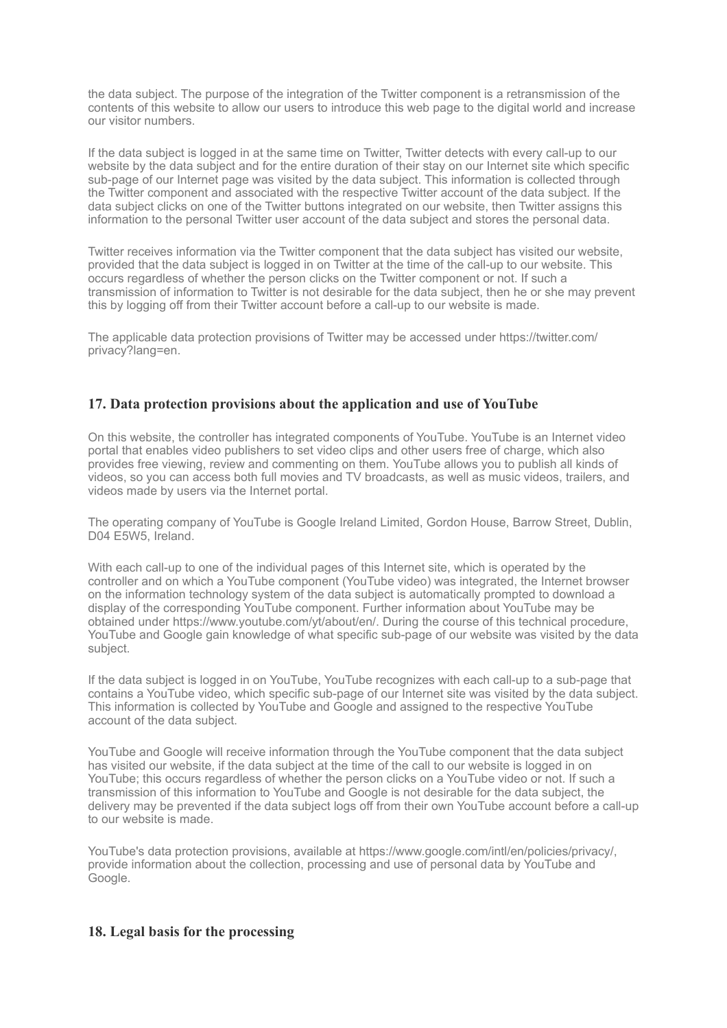the data subject. The purpose of the integration of the Twitter component is a retransmission of the contents of this website to allow our users to introduce this web page to the digital world and increase our visitor numbers.

If the data subject is logged in at the same time on Twitter, Twitter detects with every call-up to our website by the data subject and for the entire duration of their stay on our Internet site which specific sub-page of our Internet page was visited by the data subject. This information is collected through the Twitter component and associated with the respective Twitter account of the data subject. If the data subject clicks on one of the Twitter buttons integrated on our website, then Twitter assigns this information to the personal Twitter user account of the data subject and stores the personal data.

Twitter receives information via the Twitter component that the data subject has visited our website, provided that the data subject is logged in on Twitter at the time of the call-up to our website. This occurs regardless of whether the person clicks on the Twitter component or not. If such a transmission of information to Twitter is not desirable for the data subject, then he or she may prevent this by logging off from their Twitter account before a call-up to our website is made.

The applicable data protection provisions of Twitter may be accessed under https://twitter.com/ privacy?lang=en.

#### **17. Data protection provisions about the application and use of YouTube**

On this website, the controller has integrated components of YouTube. YouTube is an Internet video portal that enables video publishers to set video clips and other users free of charge, which also provides free viewing, review and commenting on them. YouTube allows you to publish all kinds of videos, so you can access both full movies and TV broadcasts, as well as music videos, trailers, and videos made by users via the Internet portal.

The operating company of YouTube is Google Ireland Limited, Gordon House, Barrow Street, Dublin, D04 E5W5, Ireland.

With each call-up to one of the individual pages of this Internet site, which is operated by the controller and on which a YouTube component (YouTube video) was integrated, the Internet browser on the information technology system of the data subject is automatically prompted to download a display of the corresponding YouTube component. Further information about YouTube may be obtained under https://www.youtube.com/yt/about/en/. During the course of this technical procedure, YouTube and Google gain knowledge of what specific sub-page of our website was visited by the data subject.

If the data subject is logged in on YouTube, YouTube recognizes with each call-up to a sub-page that contains a YouTube video, which specific sub-page of our Internet site was visited by the data subject. This information is collected by YouTube and Google and assigned to the respective YouTube account of the data subject.

YouTube and Google will receive information through the YouTube component that the data subject has visited our website, if the data subject at the time of the call to our website is logged in on YouTube; this occurs regardless of whether the person clicks on a YouTube video or not. If such a transmission of this information to YouTube and Google is not desirable for the data subject, the delivery may be prevented if the data subject logs off from their own YouTube account before a call-up to our website is made.

YouTube's data protection provisions, available at https://www.google.com/intl/en/policies/privacy/, provide information about the collection, processing and use of personal data by YouTube and Google.

#### **18. Legal basis for the processing**